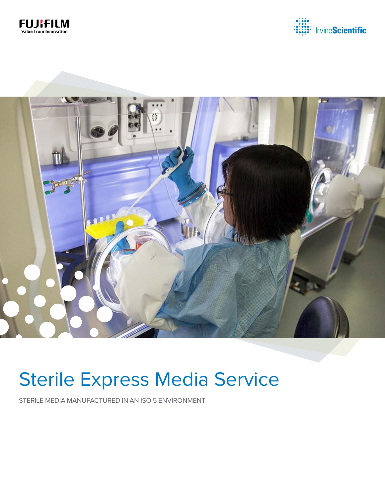





# **Sterile Express Media Service**

STERILE MEDIA MANUFACTURED IN AN ISO 5 ENVIRONMENT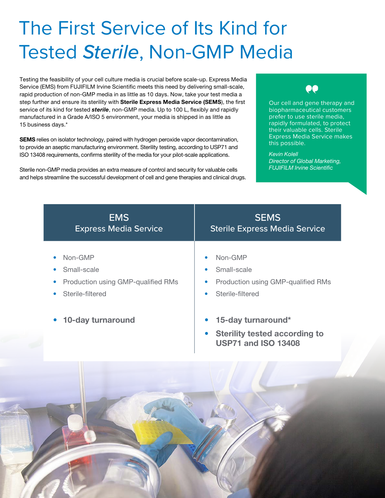# The First Service of Its Kind for Tested *Sterile*, Non-GMP Media

Testing the feasibility of your cell culture media is crucial before scale-up. Express Media Service (EMS) from FUJIFILM Irvine Scientific meets this need by delivering small-scale, rapid production of non-GMP media in as little as 10 days. Now, take your test media a step further and ensure its sterility with Sterile Express Media Service (SEMS), the first service of its kind for tested *sterile*, non-GMP media. Up to 100 L, flexibly and rapidly manufactured in a Grade A/ISO 5 environment, your media is shipped in as little as 15 business days.\*

SEMS relies on isolator technology, paired with hydrogen peroxide vapor decontamination, to provide an aseptic manufacturing environment. Sterility testing, according to USP71 and ISO 13408 requirements, confirms sterility of the media for your pilot-scale applications.

Sterile non-GMP media provides an extra measure of control and security for valuable cells and helps streamline the successful development of cell and gene therapies and clinical drugs.



Our cell and gene therapy and biopharmaceutical customers prefer to use sterile media, rapidly formulated, to protect their valuable cells. Sterile Express Media Service makes this possible.

*Kevin Kolell Director of Global Marketing, FUJIFILM Irvine Scientific*

| <b>EMS</b>                         | <b>SEMS</b>                                                                                                        |
|------------------------------------|--------------------------------------------------------------------------------------------------------------------|
| <b>Express Media Service</b>       | <b>Sterile Express Media Service</b>                                                                               |
| Non-GMP                            | Non-GMP                                                                                                            |
| $\bullet$                          | $\bullet$                                                                                                          |
| Small-scale                        | Small-scale                                                                                                        |
| $\bullet$                          | $\bullet$                                                                                                          |
| Production using GMP-qualified RMs | Production using GMP-qualified RMs                                                                                 |
| $\bullet$                          | $\bullet$                                                                                                          |
| Sterile-filtered                   | Sterile-filtered                                                                                                   |
| $\bullet$                          | $\bullet$                                                                                                          |
| 10-day turnaround<br>$\bullet$     | 15-day turnaround*<br>$\bullet$<br><b>Sterility tested according to</b><br>$\bullet$<br><b>USP71 and ISO 13408</b> |
|                                    |                                                                                                                    |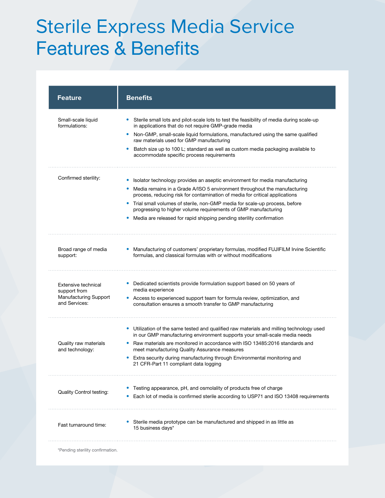## Sterile Express Media Service Features & Benefits

| <b>Feature</b>                                                                | <b>Benefits</b>                                                                                                                                                        |
|-------------------------------------------------------------------------------|------------------------------------------------------------------------------------------------------------------------------------------------------------------------|
| Small-scale liquid<br>formulations:                                           | Sterile small lots and pilot-scale lots to test the feasibility of media during scale-up<br>in applications that do not require GMP-grade media                        |
|                                                                               | Non-GMP, small-scale liquid formulations, manufactured using the same qualified<br>$\bullet$<br>raw materials used for GMP manufacturing                               |
|                                                                               | Batch size up to 100 L; standard as well as custom media packaging available to<br>٠<br>accommodate specific process requirements                                      |
| Confirmed sterility:                                                          | Isolator technology provides an aseptic environment for media manufacturing                                                                                            |
|                                                                               | Media remains in a Grade A/ISO 5 environment throughout the manufacturing<br>process, reducing risk for contamination of media for critical applications               |
|                                                                               | Trial small volumes of sterile, non-GMP media for scale-up process, before<br>۰<br>progressing to higher volume requirements of GMP manufacturing                      |
|                                                                               | Media are released for rapid shipping pending sterility confirmation<br>۰                                                                                              |
| Broad range of media<br>support:                                              | Manufacturing of customers' proprietary formulas, modified FUJIFILM Irvine Scientific<br>formulas, and classical formulas with or without modifications                |
| Extensive technical<br>support from<br>Manufacturing Support<br>and Services: | • Dedicated scientists provide formulation support based on 50 years of<br>media experience                                                                            |
|                                                                               | • Access to experienced support team for formula review, optimization, and<br>consultation ensures a smooth transfer to GMP manufacturing                              |
|                                                                               | • Utilization of the same tested and qualified raw materials and milling technology used<br>in our GMP manufacturing environment supports your small-scale media needs |
| Quality raw materials<br>and technology:                                      | Raw materials are monitored in accordance with ISO 13485:2016 standards and<br>meet manufacturing Quality Assurance measures                                           |
|                                                                               | Extra security during manufacturing through Environmental monitoring and<br>۰<br>21 CFR-Part 11 compliant data logging                                                 |
| <b>Quality Control testing:</b>                                               | Testing appearance, pH, and osmolality of products free of charge                                                                                                      |
|                                                                               | Each lot of media is confirmed sterile according to USP71 and ISO 13408 requirements                                                                                   |
| Fast turnaround time:                                                         | Sterile media prototype can be manufactured and shipped in as little as<br>15 business days*                                                                           |
| *Pending sterility confirmation.                                              |                                                                                                                                                                        |